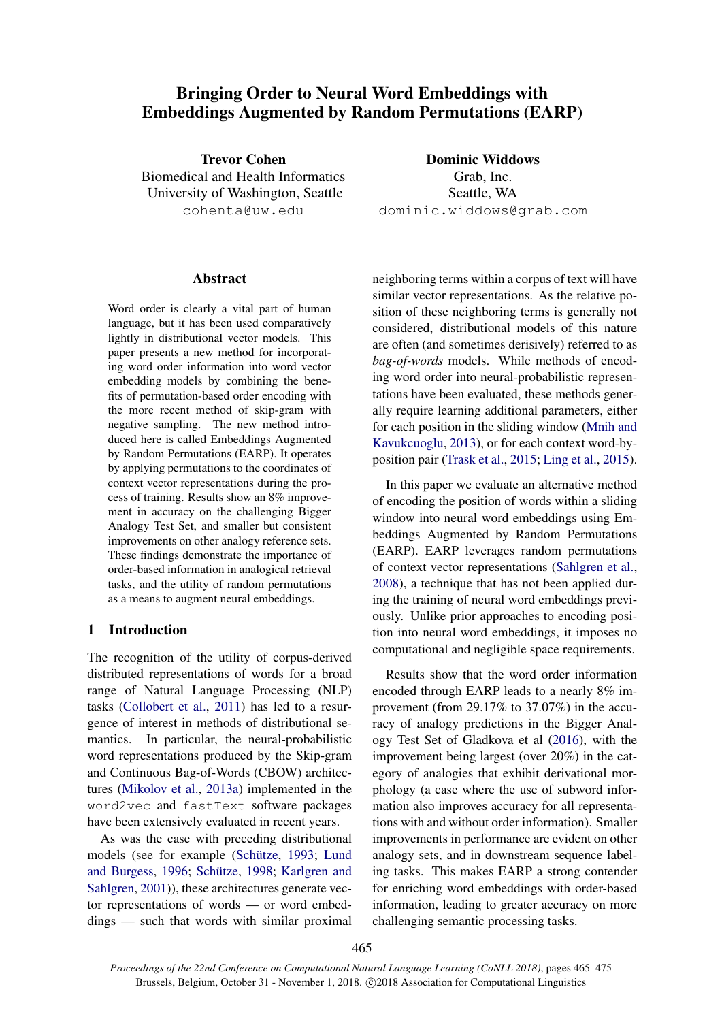# Bringing Order to Neural Word Embeddings with Embeddings Augmented by Random Permutations (EARP)

Trevor Cohen Biomedical and Health Informatics University of Washington, Seattle cohenta@uw.edu

Dominic Widdows Grab, Inc. Seattle, WA dominic.widdows@grab.com

# **Abstract**

Word order is clearly a vital part of human language, but it has been used comparatively lightly in distributional vector models. This paper presents a new method for incorporating word order information into word vector embedding models by combining the benefits of permutation-based order encoding with the more recent method of skip-gram with negative sampling. The new method introduced here is called Embeddings Augmented by Random Permutations (EARP). It operates by applying permutations to the coordinates of context vector representations during the process of training. Results show an 8% improvement in accuracy on the challenging Bigger Analogy Test Set, and smaller but consistent improvements on other analogy reference sets. These findings demonstrate the importance of order-based information in analogical retrieval tasks, and the utility of random permutations as a means to augment neural embeddings.

# 1 Introduction

The recognition of the utility of corpus-derived distributed representations of words for a broad range of Natural Language Processing (NLP) tasks [\(Collobert et al.,](#page-9-0) [2011\)](#page-9-0) has led to a resurgence of interest in methods of distributional semantics. In particular, the neural-probabilistic word representations produced by the Skip-gram and Continuous Bag-of-Words (CBOW) architectures [\(Mikolov et al.,](#page-10-0) [2013a\)](#page-10-0) implemented in the word2vec and fastText software packages have been extensively evaluated in recent years.

As was the case with preceding distributional models (see for example (Schütze, [1993;](#page-10-1) [Lund](#page-10-2) [and Burgess,](#page-10-2) [1996;](#page-10-2) Schütze, [1998;](#page-10-3) [Karlgren and](#page-9-1) [Sahlgren,](#page-9-1) [2001\)](#page-9-1)), these architectures generate vector representations of words — or word embeddings — such that words with similar proximal

neighboring terms within a corpus of text will have similar vector representations. As the relative position of these neighboring terms is generally not considered, distributional models of this nature are often (and sometimes derisively) referred to as *bag-of-words* models. While methods of encoding word order into neural-probabilistic representations have been evaluated, these methods generally require learning additional parameters, either for each position in the sliding window [\(Mnih and](#page-10-4) [Kavukcuoglu,](#page-10-4) [2013\)](#page-10-4), or for each context word-byposition pair [\(Trask et al.,](#page-10-5) [2015;](#page-10-5) [Ling et al.,](#page-10-6) [2015\)](#page-10-6).

In this paper we evaluate an alternative method of encoding the position of words within a sliding window into neural word embeddings using Embeddings Augmented by Random Permutations (EARP). EARP leverages random permutations of context vector representations [\(Sahlgren et al.,](#page-10-7) [2008\)](#page-10-7), a technique that has not been applied during the training of neural word embeddings previously. Unlike prior approaches to encoding position into neural word embeddings, it imposes no computational and negligible space requirements.

Results show that the word order information encoded through EARP leads to a nearly 8% improvement (from 29.17% to 37.07%) in the accuracy of analogy predictions in the Bigger Analogy Test Set of Gladkova et al [\(2016\)](#page-9-2), with the improvement being largest (over 20%) in the category of analogies that exhibit derivational morphology (a case where the use of subword information also improves accuracy for all representations with and without order information). Smaller improvements in performance are evident on other analogy sets, and in downstream sequence labeling tasks. This makes EARP a strong contender for enriching word embeddings with order-based information, leading to greater accuracy on more challenging semantic processing tasks.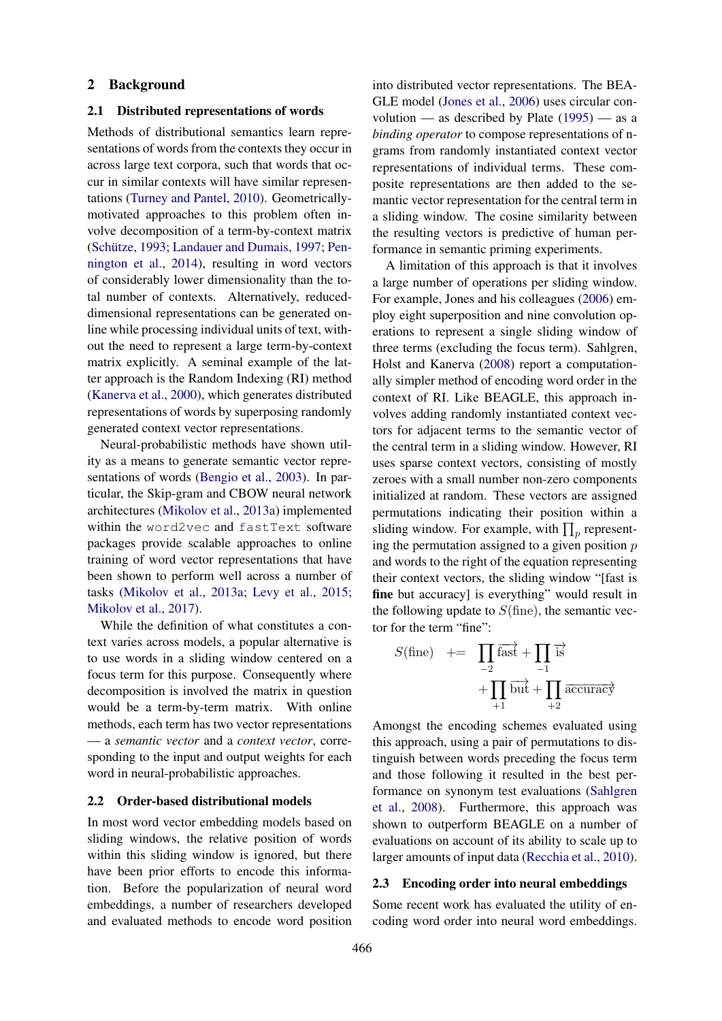#### 2 Background

# 2.1 Distributed representations of words

Methods of distributional semantics learn representations of words from the contexts they occur in across large text corpora, such that words that occur in similar contexts will have similar representations [\(Turney and Pantel,](#page-10-8) [2010\)](#page-10-8). Geometricallymotivated approaches to this problem often involve decomposition of a term-by-context matrix (Schütze, [1993;](#page-10-1) [Landauer and Dumais,](#page-9-3) [1997;](#page-9-3) [Pen](#page-10-9)[nington et al.,](#page-10-9) [2014\)](#page-10-9), resulting in word vectors of considerably lower dimensionality than the total number of contexts. Alternatively, reduceddimensional representations can be generated online while processing individual units of text, without the need to represent a large term-by-context matrix explicitly. A seminal example of the latter approach is the Random Indexing (RI) method [\(Kanerva et al.,](#page-9-4) [2000\)](#page-9-4), which generates distributed representations of words by superposing randomly generated context vector representations.

Neural-probabilistic methods have shown utility as a means to generate semantic vector representations of words [\(Bengio et al.,](#page-9-5) [2003\)](#page-9-5). In particular, the Skip-gram and CBOW neural network architectures [\(Mikolov et al.,](#page-10-0) [2013a\)](#page-10-0) implemented within the word2vec and fastText software packages provide scalable approaches to online training of word vector representations that have been shown to perform well across a number of tasks [\(Mikolov et al.,](#page-10-0) [2013a;](#page-10-0) [Levy et al.,](#page-9-6) [2015;](#page-9-6) [Mikolov et al.,](#page-10-10) [2017\)](#page-10-10).

While the definition of what constitutes a context varies across models, a popular alternative is to use words in a sliding window centered on a focus term for this purpose. Consequently where decomposition is involved the matrix in question would be a term-by-term matrix. With online methods, each term has two vector representations — a *semantic vector* and a *context vector*, corresponding to the input and output weights for each word in neural-probabilistic approaches.

# 2.2 Order-based distributional models

In most word vector embedding models based on sliding windows, the relative position of words within this sliding window is ignored, but there have been prior efforts to encode this information. Before the popularization of neural word embeddings, a number of researchers developed and evaluated methods to encode word position

into distributed vector representations. The BEA-GLE model [\(Jones et al.,](#page-9-7) [2006\)](#page-9-7) uses circular convolution — as described by Plate  $(1995)$  — as a *binding operator* to compose representations of ngrams from randomly instantiated context vector representations of individual terms. These composite representations are then added to the semantic vector representation for the central term in a sliding window. The cosine similarity between the resulting vectors is predictive of human performance in semantic priming experiments.

A limitation of this approach is that it involves a large number of operations per sliding window. For example, Jones and his colleagues [\(2006\)](#page-9-7) employ eight superposition and nine convolution operations to represent a single sliding window of three terms (excluding the focus term). Sahlgren, Holst and Kanerva [\(2008\)](#page-10-7) report a computationally simpler method of encoding word order in the context of RI. Like BEAGLE, this approach involves adding randomly instantiated context vectors for adjacent terms to the semantic vector of the central term in a sliding window. However, RI uses sparse context vectors, consisting of mostly zeroes with a small number non-zero components initialized at random. These vectors are assigned permutations indicating their position within a sliding window. For example, with  $\prod_p$  representing the permutation assigned to a given position  $p$ and words to the right of the equation representing their context vectors, the sliding window "[fast is fine but accuracy] is everything" would result in the following update to  $S$ (fine), the semantic vector for the term "fine":

$$
S(\text{fine}) \quad += \quad \prod_{-2} \overrightarrow{\text{fast}} + \prod_{-1} \overrightarrow{\text{is}} \\
+ \prod_{+1} \overrightarrow{\text{but}} + \prod_{+2} \overrightarrow{\text{accuracy}}
$$

Amongst the encoding schemes evaluated using this approach, using a pair of permutations to distinguish between words preceding the focus term and those following it resulted in the best performance on synonym test evaluations [\(Sahlgren](#page-10-7) [et al.,](#page-10-7) [2008\)](#page-10-7). Furthermore, this approach was shown to outperform BEAGLE on a number of evaluations on account of its ability to scale up to larger amounts of input data [\(Recchia et al.,](#page-10-12) [2010\)](#page-10-12).

## 2.3 Encoding order into neural embeddings

Some recent work has evaluated the utility of encoding word order into neural word embeddings.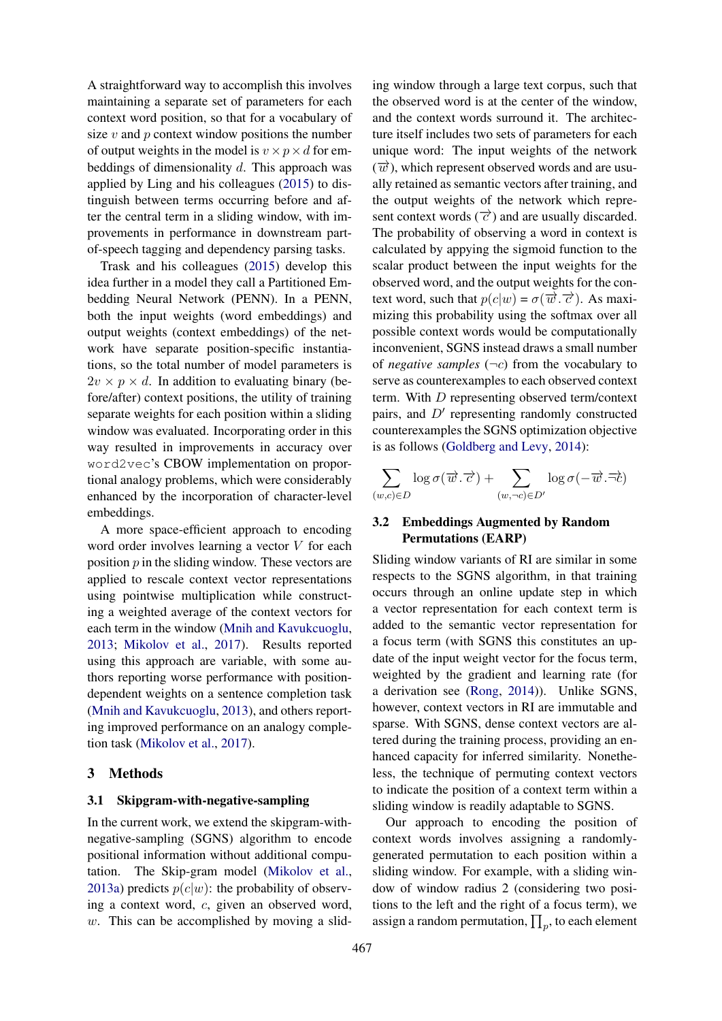A straightforward way to accomplish this involves maintaining a separate set of parameters for each context word position, so that for a vocabulary of size  $v$  and  $p$  context window positions the number of output weights in the model is  $v \times p \times d$  for embeddings of dimensionality d. This approach was applied by Ling and his colleagues [\(2015\)](#page-10-6) to distinguish between terms occurring before and after the central term in a sliding window, with improvements in performance in downstream partof-speech tagging and dependency parsing tasks.

Trask and his colleagues [\(2015\)](#page-10-5) develop this idea further in a model they call a Partitioned Embedding Neural Network (PENN). In a PENN, both the input weights (word embeddings) and output weights (context embeddings) of the network have separate position-specific instantiations, so the total number of model parameters is  $2v \times p \times d$ . In addition to evaluating binary (before/after) context positions, the utility of training separate weights for each position within a sliding window was evaluated. Incorporating order in this way resulted in improvements in accuracy over word2vec's CBOW implementation on proportional analogy problems, which were considerably enhanced by the incorporation of character-level embeddings.

A more space-efficient approach to encoding word order involves learning a vector V for each position  $p$  in the sliding window. These vectors are applied to rescale context vector representations using pointwise multiplication while constructing a weighted average of the context vectors for each term in the window [\(Mnih and Kavukcuoglu,](#page-10-4) [2013;](#page-10-4) [Mikolov et al.,](#page-10-10) [2017\)](#page-10-10). Results reported using this approach are variable, with some authors reporting worse performance with positiondependent weights on a sentence completion task [\(Mnih and Kavukcuoglu,](#page-10-4) [2013\)](#page-10-4), and others reporting improved performance on an analogy completion task [\(Mikolov et al.,](#page-10-10) [2017\)](#page-10-10).

# 3 Methods

# 3.1 Skipgram-with-negative-sampling

In the current work, we extend the skipgram-withnegative-sampling (SGNS) algorithm to encode positional information without additional computation. The Skip-gram model [\(Mikolov et al.,](#page-10-0) [2013a\)](#page-10-0) predicts  $p(c|w)$ : the probability of observing a context word, c, given an observed word,  $w$ . This can be accomplished by moving a slid-

ing window through a large text corpus, such that the observed word is at the center of the window, and the context words surround it. The architecture itself includes two sets of parameters for each unique word: The input weights of the network  $(\overrightarrow{w})$ , which represent observed words and are usually retained as semantic vectors after training, and the output weights of the network which represent context words  $(\vec{c})$  and are usually discarded. The probability of observing a word in context is calculated by appying the sigmoid function to the scalar product between the input weights for the observed word, and the output weights for the context word, such that  $p(c|w) = \sigma(\overrightarrow{w}, \overrightarrow{c})$ . As maximizing this probability using the softmax over all possible context words would be computationally inconvenient, SGNS instead draws a small number of *negative samples*  $(\neg c)$  from the vocabulary to serve as counterexamples to each observed context term. With D representing observed term/context pairs, and  $D'$  representing randomly constructed counterexamples the SGNS optimization objective is as follows [\(Goldberg and Levy,](#page-9-8) [2014\)](#page-9-8):

$$
\sum_{(w,c)\in D}\log\sigma(\overrightarrow{w}.\overrightarrow{c})+\sum_{(w,\neg c)\in D'}\log\sigma(-\overrightarrow{w}.\overrightarrow{\neg c})
$$

# 3.2 Embeddings Augmented by Random Permutations (EARP)

Sliding window variants of RI are similar in some respects to the SGNS algorithm, in that training occurs through an online update step in which a vector representation for each context term is added to the semantic vector representation for a focus term (with SGNS this constitutes an update of the input weight vector for the focus term, weighted by the gradient and learning rate (for a derivation see [\(Rong,](#page-10-13) [2014\)](#page-10-13)). Unlike SGNS, however, context vectors in RI are immutable and sparse. With SGNS, dense context vectors are altered during the training process, providing an enhanced capacity for inferred similarity. Nonetheless, the technique of permuting context vectors to indicate the position of a context term within a sliding window is readily adaptable to SGNS.

Our approach to encoding the position of context words involves assigning a randomlygenerated permutation to each position within a sliding window. For example, with a sliding window of window radius 2 (considering two positions to the left and the right of a focus term), we assign a random permutation,  $\prod_p$ , to each element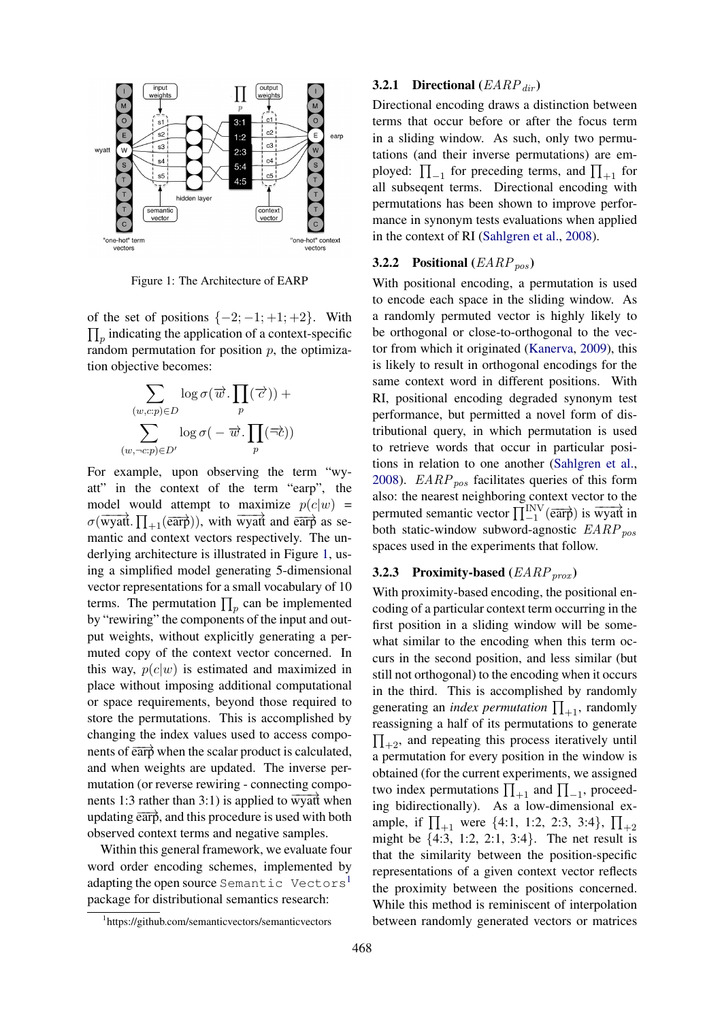

<span id="page-3-0"></span>Figure 1: The Architecture of EARP

of the set of positions  $\{-2; -1; +1; +2\}$ . With  $\prod_p$  indicating the application of a context-specific random permutation for position  $p$ , the optimization objective becomes:

$$
\sum_{(w,c:p)\in D} \log \sigma(\overrightarrow{w}.\prod_{p}(\overrightarrow{c})) + \\ \sum_{(w,\neg c:p)\in D'} \log \sigma(-\overrightarrow{w}.\prod_{p}(\overrightarrow{\neg c}))
$$

For example, upon observing the term "wyatt" in the context of the term "earp", the model would attempt to maximize  $p(c|w)$  =  $\sigma(\overline{wyat}$ .  $\prod_{+1}(\overline{earp}))$ , with wyatt and  $\overline{earp}$  as semantic and context vectors respectively. The underlying architecture is illustrated in Figure [1,](#page-3-0) using a simplified model generating 5-dimensional vector representations for a small vocabulary of 10 terms. The permutation  $\prod_p$  can be implemented by "rewiring" the components of the input and output weights, without explicitly generating a permuted copy of the context vector concerned. In this way,  $p(c|w)$  is estimated and maximized in place without imposing additional computational or space requirements, beyond those required to store the permutations. This is accomplished by changing the index values used to access components of  $\overrightarrow{earp}$  when the scalar product is calculated, and when weights are updated. The inverse permutation (or reverse rewiring - connecting components 1:3 rather than 3:1) is applied to  $\overline{wyatf}$  when updating  $\overrightarrow{earp}$ , and this procedure is used with both observed context terms and negative samples.

Within this general framework, we evaluate four word order encoding schemes, implemented by adapting the open source Semantic Vectors<sup>[1](#page-3-1)</sup> package for distributional semantics research:

# **3.2.1 Directional**  $(EARP_{dir})$

Directional encoding draws a distinction between terms that occur before or after the focus term in a sliding window. As such, only two permutations (and their inverse permutations) are employed:  $\prod_{-1}$  for preceding terms, and  $\prod_{+1}$  for all subseqent terms. Directional encoding with permutations has been shown to improve performance in synonym tests evaluations when applied in the context of RI [\(Sahlgren et al.,](#page-10-7) [2008\)](#page-10-7).

# **3.2.2** Positional  $(EARP_{pos})$

With positional encoding, a permutation is used to encode each space in the sliding window. As a randomly permuted vector is highly likely to be orthogonal or close-to-orthogonal to the vector from which it originated [\(Kanerva,](#page-9-9) [2009\)](#page-9-9), this is likely to result in orthogonal encodings for the same context word in different positions. With RI, positional encoding degraded synonym test performance, but permitted a novel form of distributional query, in which permutation is used to retrieve words that occur in particular positions in relation to one another [\(Sahlgren et al.,](#page-10-7) [2008\)](#page-10-7).  $EARP_{pos}$  facilitates queries of this form also: the nearest neighboring context vector to the permuted semantic vector  $\prod_{-1}^{INV}$  ( $\overline{earp}$ ) is wyatt in both static-window subword-agnostic  $EARP_{nos}$ spaces used in the experiments that follow.

# 3.2.3 Proximity-based  $(EARP<sub>prox</sub>)$

With proximity-based encoding, the positional encoding of a particular context term occurring in the first position in a sliding window will be somewhat similar to the encoding when this term occurs in the second position, and less similar (but still not orthogonal) to the encoding when it occurs in the third. This is accomplished by randomly generating an *index permutation*  $\prod_{+1}$ , randomly reassigning a half of its permutations to generate  $\prod_{+2}$ , and repeating this process iteratively until a permutation for every position in the window is obtained (for the current experiments, we assigned two index permutations  $\prod_{+1}$  and  $\prod_{-1}$ , proceeding bidirectionally). As a low-dimensional example, if  $\prod_{+1}$  were {4:1, 1:2, 2:3, 3:4},  $\prod_{+2}$ might be {4:3, 1:2, 2:1, 3:4}. The net result is that the similarity between the position-specific representations of a given context vector reflects the proximity between the positions concerned. While this method is reminiscent of interpolation between randomly generated vectors or matrices

<span id="page-3-1"></span><sup>1</sup> https://github.com/semanticvectors/semanticvectors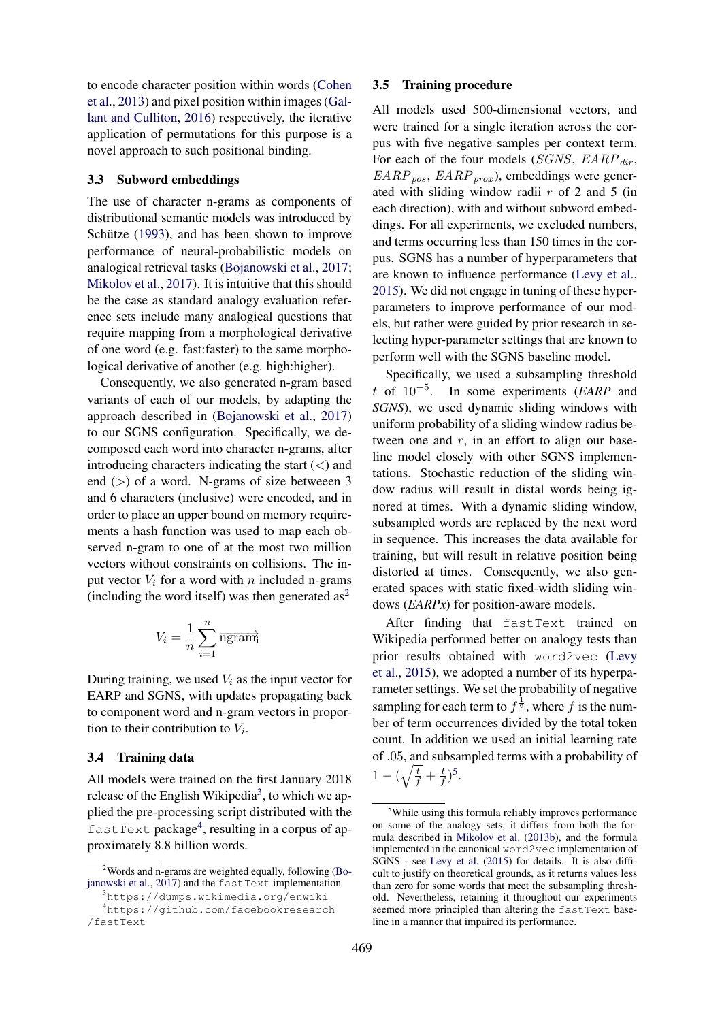to encode character position within words [\(Cohen](#page-9-10) [et al.,](#page-9-10) [2013\)](#page-9-10) and pixel position within images [\(Gal](#page-9-11)[lant and Culliton,](#page-9-11) [2016\)](#page-9-11) respectively, the iterative application of permutations for this purpose is a novel approach to such positional binding.

# 3.3 Subword embeddings

The use of character n-grams as components of distributional semantic models was introduced by Schütze  $(1993)$  $(1993)$ , and has been shown to improve performance of neural-probabilistic models on analogical retrieval tasks [\(Bojanowski et al.,](#page-9-12) [2017;](#page-9-12) [Mikolov et al.,](#page-10-10) [2017\)](#page-10-10). It is intuitive that this should be the case as standard analogy evaluation reference sets include many analogical questions that require mapping from a morphological derivative of one word (e.g. fast:faster) to the same morphological derivative of another (e.g. high:higher).

Consequently, we also generated n-gram based variants of each of our models, by adapting the approach described in [\(Bojanowski et al.,](#page-9-12) [2017\)](#page-9-12) to our SGNS configuration. Specifically, we decomposed each word into character n-grams, after introducing characters indicating the start  $(<)$  and end  $(>)$  of a word. N-grams of size betweeen 3 and 6 characters (inclusive) were encoded, and in order to place an upper bound on memory requirements a hash function was used to map each observed n-gram to one of at the most two million vectors without constraints on collisions. The input vector  $V_i$  for a word with n included n-grams (including the word itself) was then generated  $as<sup>2</sup>$  $as<sup>2</sup>$  $as<sup>2</sup>$ 

$$
V_i = \frac{1}{n} \sum_{i=1}^{n} \overline{\text{hgram}}_i^2
$$

During training, we used  $V_i$  as the input vector for EARP and SGNS, with updates propagating back to component word and n-gram vectors in proportion to their contribution to  $V_i$ .

#### 3.4 Training data

All models were trained on the first January 2018 release of the English Wikipedia<sup>[3](#page-4-1)</sup>, to which we applied the pre-processing script distributed with the fastText package<sup>[4](#page-4-2)</sup>, resulting in a corpus of approximately 8.8 billion words.

#### 3.5 Training procedure

All models used 500-dimensional vectors, and were trained for a single iteration across the corpus with five negative samples per context term. For each of the four models (SGNS,  $EARP_{dir}$ ,  $EARP_{pos}$ ,  $EARP_{prox}$ ), embeddings were generated with sliding window radii  $r$  of 2 and 5 (in each direction), with and without subword embeddings. For all experiments, we excluded numbers, and terms occurring less than 150 times in the corpus. SGNS has a number of hyperparameters that are known to influence performance [\(Levy et al.,](#page-9-6) [2015\)](#page-9-6). We did not engage in tuning of these hyperparameters to improve performance of our models, but rather were guided by prior research in selecting hyper-parameter settings that are known to perform well with the SGNS baseline model.

Specifically, we used a subsampling threshold t of 10−<sup>5</sup> . In some experiments (*EARP* and *SGNS*), we used dynamic sliding windows with uniform probability of a sliding window radius between one and  $r$ , in an effort to align our baseline model closely with other SGNS implementations. Stochastic reduction of the sliding window radius will result in distal words being ignored at times. With a dynamic sliding window, subsampled words are replaced by the next word in sequence. This increases the data available for training, but will result in relative position being distorted at times. Consequently, we also generated spaces with static fixed-width sliding windows (*EARPx*) for position-aware models.

After finding that fastText trained on Wikipedia performed better on analogy tests than prior results obtained with word2vec [\(Levy](#page-9-6) [et al.,](#page-9-6) [2015\)](#page-9-6), we adopted a number of its hyperparameter settings. We set the probability of negative sampling for each term to  $f^{\frac{1}{2}}$ , where f is the number of term occurrences divided by the total token count. In addition we used an initial learning rate of .05, and subsampled terms with a probability of  $1-(\sqrt{\frac{t}{f}}+\frac{t}{f})$  $(\frac{t}{f})^5$  $(\frac{t}{f})^5$ .

<span id="page-4-0"></span><sup>&</sup>lt;sup>2</sup>Words and n-grams are weighted equally, following [\(Bo](#page-9-12)[janowski et al.,](#page-9-12) [2017\)](#page-9-12) and the fastText implementation

<span id="page-4-2"></span><span id="page-4-1"></span><sup>3</sup>https://dumps.wikimedia.org/enwiki <sup>4</sup>https://github.com/facebookresearch /fastText

<span id="page-4-3"></span><sup>&</sup>lt;sup>5</sup>While using this formula reliably improves performance on some of the analogy sets, it differs from both the formula described in [Mikolov et al.](#page-10-14) [\(2013b\)](#page-10-14), and the formula implemented in the canonical word2vec implementation of SGNS - see [Levy et al.](#page-9-6) [\(2015\)](#page-9-6) for details. It is also difficult to justify on theoretical grounds, as it returns values less than zero for some words that meet the subsampling threshold. Nevertheless, retaining it throughout our experiments seemed more principled than altering the fastText baseline in a manner that impaired its performance.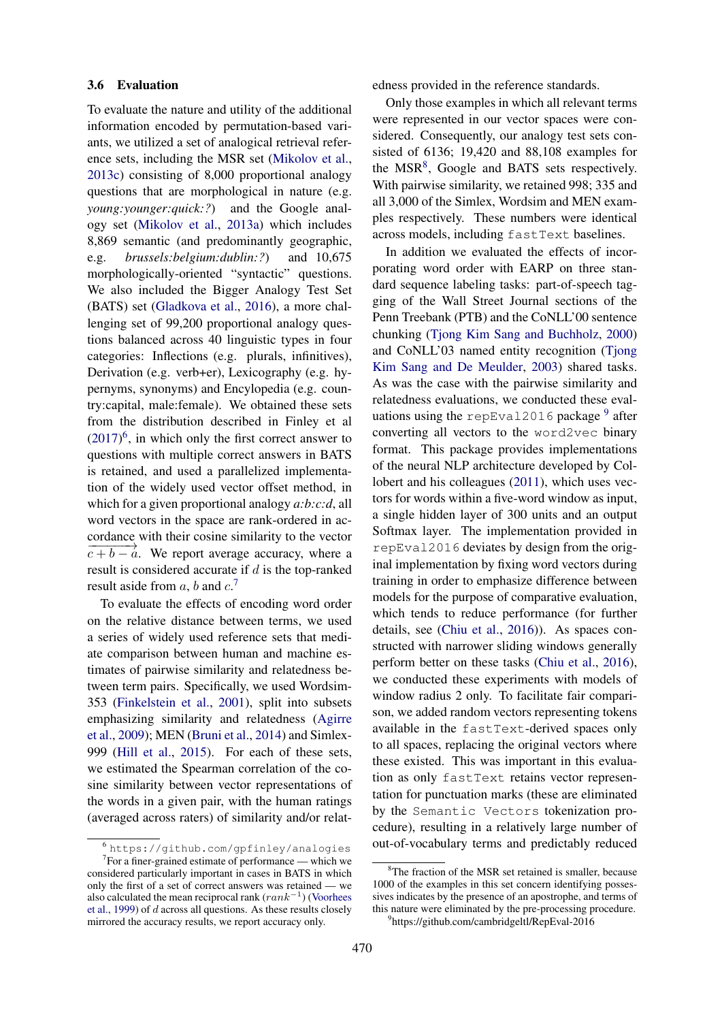# 3.6 Evaluation

To evaluate the nature and utility of the additional information encoded by permutation-based variants, we utilized a set of analogical retrieval reference sets, including the MSR set [\(Mikolov et al.,](#page-10-15) [2013c\)](#page-10-15) consisting of 8,000 proportional analogy questions that are morphological in nature (e.g. *young:younger:quick:?*) and the Google analogy set [\(Mikolov et al.,](#page-10-0) [2013a\)](#page-10-0) which includes 8,869 semantic (and predominantly geographic, e.g. *brussels:belgium:dublin:?*) and 10,675 morphologically-oriented "syntactic" questions. We also included the Bigger Analogy Test Set (BATS) set [\(Gladkova et al.,](#page-9-2) [2016\)](#page-9-2), a more challenging set of 99,200 proportional analogy questions balanced across 40 linguistic types in four categories: Inflections (e.g. plurals, infinitives), Derivation (e.g. verb+er), Lexicography (e.g. hypernyms, synonyms) and Encylopedia (e.g. country:capital, male:female). We obtained these sets from the distribution described in Finley et al  $(2017)^6$  $(2017)^6$  $(2017)^6$ , in which only the first correct answer to questions with multiple correct answers in BATS is retained, and used a parallelized implementation of the widely used vector offset method, in which for a given proportional analogy *a:b:c:d*, all word vectors in the space are rank-ordered in accordance with their cosine similarity to the vector  $\overrightarrow{c+b-a}$ . We report average accuracy, where a result is considered accurate if  $d$  is the top-ranked result aside from  $a$ ,  $b$  and  $c$ .<sup>[7](#page-5-1)</sup>

To evaluate the effects of encoding word order on the relative distance between terms, we used a series of widely used reference sets that mediate comparison between human and machine estimates of pairwise similarity and relatedness between term pairs. Specifically, we used Wordsim-353 [\(Finkelstein et al.,](#page-9-14) [2001\)](#page-9-14), split into subsets emphasizing similarity and relatedness [\(Agirre](#page-9-15) [et al.,](#page-9-15) [2009\)](#page-9-15); MEN [\(Bruni et al.,](#page-9-16) [2014\)](#page-9-16) and Simlex-999 [\(Hill et al.,](#page-9-17) [2015\)](#page-9-17). For each of these sets, we estimated the Spearman correlation of the cosine similarity between vector representations of the words in a given pair, with the human ratings (averaged across raters) of similarity and/or relatedness provided in the reference standards.

Only those examples in which all relevant terms were represented in our vector spaces were considered. Consequently, our analogy test sets consisted of 6136; 19,420 and 88,108 examples for the MSR<sup>[8](#page-5-2)</sup>, Google and BATS sets respectively. With pairwise similarity, we retained 998; 335 and all 3,000 of the Simlex, Wordsim and MEN examples respectively. These numbers were identical across models, including fastText baselines.

In addition we evaluated the effects of incorporating word order with EARP on three standard sequence labeling tasks: part-of-speech tagging of the Wall Street Journal sections of the Penn Treebank (PTB) and the CoNLL'00 sentence chunking [\(Tjong Kim Sang and Buchholz,](#page-10-17) [2000\)](#page-10-17) and CoNLL'03 named entity recognition [\(Tjong](#page-10-18) [Kim Sang and De Meulder,](#page-10-18) [2003\)](#page-10-18) shared tasks. As was the case with the pairwise similarity and relatedness evaluations, we conducted these eval-uations using the repEval2016 package <sup>[9](#page-5-3)</sup> after converting all vectors to the word2vec binary format. This package provides implementations of the neural NLP architecture developed by Collobert and his colleagues [\(2011\)](#page-9-0), which uses vectors for words within a five-word window as input, a single hidden layer of 300 units and an output Softmax layer. The implementation provided in repEval2016 deviates by design from the original implementation by fixing word vectors during training in order to emphasize difference between models for the purpose of comparative evaluation, which tends to reduce performance (for further details, see [\(Chiu et al.,](#page-9-18) [2016\)](#page-9-18)). As spaces constructed with narrower sliding windows generally perform better on these tasks [\(Chiu et al.,](#page-9-18) [2016\)](#page-9-18), we conducted these experiments with models of window radius 2 only. To facilitate fair comparison, we added random vectors representing tokens available in the fastText-derived spaces only to all spaces, replacing the original vectors where these existed. This was important in this evaluation as only fastText retains vector representation for punctuation marks (these are eliminated by the Semantic Vectors tokenization procedure), resulting in a relatively large number of out-of-vocabulary terms and predictably reduced

<span id="page-5-1"></span><span id="page-5-0"></span><sup>6</sup> https://github.com/gpfinley/analogies

 $7$  For a finer-grained estimate of performance — which we considered particularly important in cases in BATS in which only the first of a set of correct answers was retained — we also calculated the mean reciprocal rank  $(rank^{-1})$  [\(Voorhees](#page-10-16) [et al.,](#page-10-16) [1999\)](#page-10-16) of d across all questions. As these results closely mirrored the accuracy results, we report accuracy only.

<span id="page-5-2"></span> $8$ The fraction of the MSR set retained is smaller, because 1000 of the examples in this set concern identifying possessives indicates by the presence of an apostrophe, and terms of this nature were eliminated by the pre-processing procedure.

<span id="page-5-3"></span><sup>9</sup> https://github.com/cambridgeltl/RepEval-2016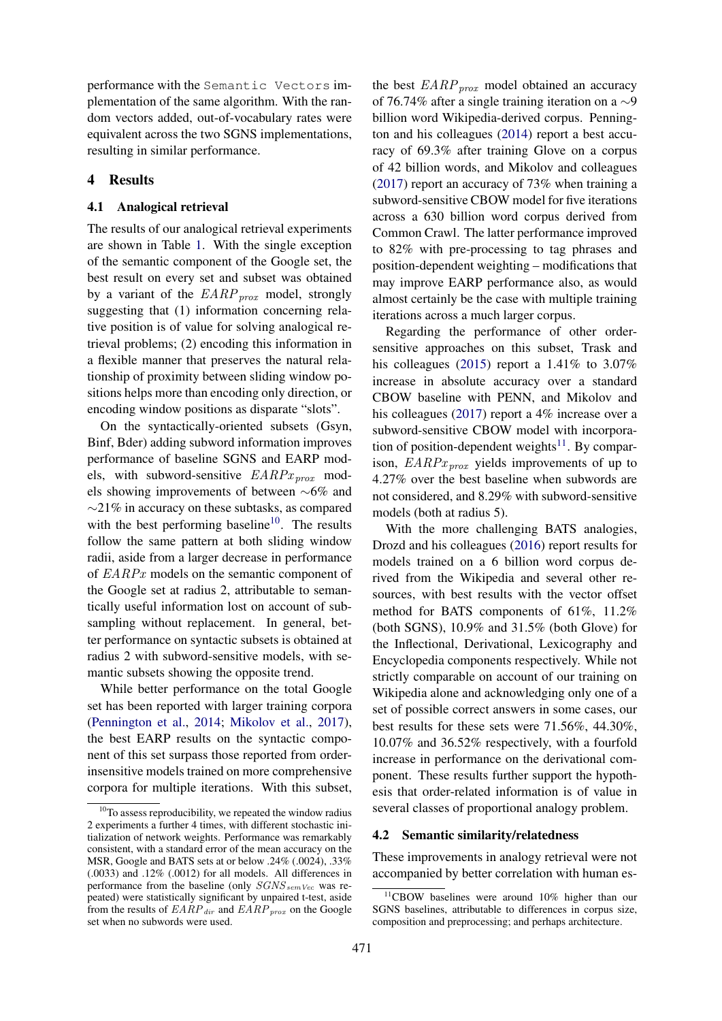performance with the Semantic Vectors implementation of the same algorithm. With the random vectors added, out-of-vocabulary rates were equivalent across the two SGNS implementations, resulting in similar performance.

# 4 Results

# 4.1 Analogical retrieval

The results of our analogical retrieval experiments are shown in Table [1.](#page-7-0) With the single exception of the semantic component of the Google set, the best result on every set and subset was obtained by a variant of the  $EARP_{prox}$  model, strongly suggesting that (1) information concerning relative position is of value for solving analogical retrieval problems; (2) encoding this information in a flexible manner that preserves the natural relationship of proximity between sliding window positions helps more than encoding only direction, or encoding window positions as disparate "slots".

On the syntactically-oriented subsets (Gsyn, Binf, Bder) adding subword information improves performance of baseline SGNS and EARP models, with subword-sensitive  $EARPx_{prox}$  models showing improvements of between ∼6% and ∼21% in accuracy on these subtasks, as compared with the best performing baseline<sup>[10](#page-6-0)</sup>. The results follow the same pattern at both sliding window radii, aside from a larger decrease in performance of EARPx models on the semantic component of the Google set at radius 2, attributable to semantically useful information lost on account of subsampling without replacement. In general, better performance on syntactic subsets is obtained at radius 2 with subword-sensitive models, with semantic subsets showing the opposite trend.

While better performance on the total Google set has been reported with larger training corpora [\(Pennington et al.,](#page-10-9) [2014;](#page-10-9) [Mikolov et al.,](#page-10-10) [2017\)](#page-10-10), the best EARP results on the syntactic component of this set surpass those reported from orderinsensitive models trained on more comprehensive corpora for multiple iterations. With this subset, the best  $EARP_{prox}$  model obtained an accuracy of 76.74% after a single training iteration on a ∼9 billion word Wikipedia-derived corpus. Pennington and his colleagues [\(2014\)](#page-10-9) report a best accuracy of 69.3% after training Glove on a corpus of 42 billion words, and Mikolov and colleagues [\(2017\)](#page-10-10) report an accuracy of 73% when training a subword-sensitive CBOW model for five iterations across a 630 billion word corpus derived from Common Crawl. The latter performance improved to 82% with pre-processing to tag phrases and position-dependent weighting – modifications that may improve EARP performance also, as would almost certainly be the case with multiple training iterations across a much larger corpus.

Regarding the performance of other ordersensitive approaches on this subset, Trask and his colleagues [\(2015\)](#page-10-5) report a 1.41% to 3.07% increase in absolute accuracy over a standard CBOW baseline with PENN, and Mikolov and his colleagues [\(2017\)](#page-10-10) report a 4% increase over a subword-sensitive CBOW model with incorporation of position-dependent weights $11$ . By comparison,  $EARPx_{\text{prox}}$  yields improvements of up to 4.27% over the best baseline when subwords are not considered, and 8.29% with subword-sensitive models (both at radius 5).

With the more challenging BATS analogies, Drozd and his colleagues [\(2016\)](#page-9-19) report results for models trained on a 6 billion word corpus derived from the Wikipedia and several other resources, with best results with the vector offset method for BATS components of 61%, 11.2% (both SGNS), 10.9% and 31.5% (both Glove) for the Inflectional, Derivational, Lexicography and Encyclopedia components respectively. While not strictly comparable on account of our training on Wikipedia alone and acknowledging only one of a set of possible correct answers in some cases, our best results for these sets were 71.56%, 44.30%, 10.07% and 36.52% respectively, with a fourfold increase in performance on the derivational component. These results further support the hypothesis that order-related information is of value in several classes of proportional analogy problem.

#### 4.2 Semantic similarity/relatedness

These improvements in analogy retrieval were not accompanied by better correlation with human es-

<span id="page-6-0"></span><sup>&</sup>lt;sup>10</sup>To assess reproducibility, we repeated the window radius 2 experiments a further 4 times, with different stochastic initialization of network weights. Performance was remarkably consistent, with a standard error of the mean accuracy on the MSR, Google and BATS sets at or below .24% (.0024), .33% (.0033) and .12% (.0012) for all models. All differences in performance from the baseline (only  $SGNS_{semVec}$  was repeated) were statistically significant by unpaired t-test, aside from the results of  $EARP_{dir}$  and  $EARP_{prox}$  on the Google set when no subwords were used.

<span id="page-6-1"></span><sup>11</sup>CBOW baselines were around 10% higher than our SGNS baselines, attributable to differences in corpus size, composition and preprocessing; and perhaps architecture.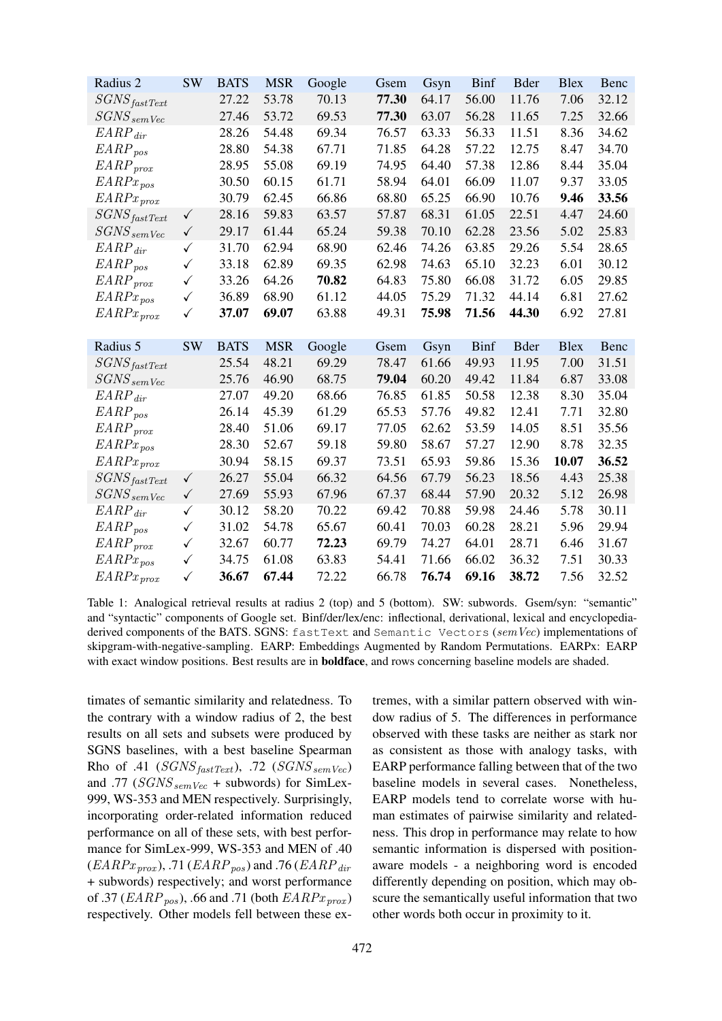| Radius 2                             | <b>SW</b>    | <b>BATS</b> | <b>MSR</b> | Google | Gsem  | Gsyn  | <b>Binf</b> | <b>B</b> der | <b>Blex</b> | Benc  |
|--------------------------------------|--------------|-------------|------------|--------|-------|-------|-------------|--------------|-------------|-------|
| $SGNS_{fastText}$                    |              | 27.22       | 53.78      | 70.13  | 77.30 | 64.17 | 56.00       | 11.76        | 7.06        | 32.12 |
| $SGNS_{sem\,Vec}$                    |              | 27.46       | 53.72      | 69.53  | 77.30 | 63.07 | 56.28       | 11.65        | 7.25        | 32.66 |
| $EARP_{dir}$                         |              | 28.26       | 54.48      | 69.34  | 76.57 | 63.33 | 56.33       | 11.51        | 8.36        | 34.62 |
| $EARP_{pos}$                         |              | 28.80       | 54.38      | 67.71  | 71.85 | 64.28 | 57.22       | 12.75        | 8.47        | 34.70 |
| $EARP_{prox}$                        |              | 28.95       | 55.08      | 69.19  | 74.95 | 64.40 | 57.38       | 12.86        | 8.44        | 35.04 |
| $EARPx_{pos}$                        |              | 30.50       | 60.15      | 61.71  | 58.94 | 64.01 | 66.09       | 11.07        | 9.37        | 33.05 |
| $EARP x_{prox}$                      |              | 30.79       | 62.45      | 66.86  | 68.80 | 65.25 | 66.90       | 10.76        | 9.46        | 33.56 |
| $SGNS_{fastText}$                    | $\checkmark$ | 28.16       | 59.83      | 63.57  | 57.87 | 68.31 | 61.05       | 22.51        | 4.47        | 24.60 |
| $SGNS_{semVec}$                      | $\checkmark$ | 29.17       | 61.44      | 65.24  | 59.38 | 70.10 | 62.28       | 23.56        | 5.02        | 25.83 |
| $EARP_{dir}$                         | $\checkmark$ | 31.70       | 62.94      | 68.90  | 62.46 | 74.26 | 63.85       | 29.26        | 5.54        | 28.65 |
| $EARP_{pos}$                         | $\checkmark$ | 33.18       | 62.89      | 69.35  | 62.98 | 74.63 | 65.10       | 32.23        | 6.01        | 30.12 |
| $EARP_{prox}$                        | $\checkmark$ | 33.26       | 64.26      | 70.82  | 64.83 | 75.80 | 66.08       | 31.72        | 6.05        | 29.85 |
| $EARPx_{pos}$                        | $\checkmark$ | 36.89       | 68.90      | 61.12  | 44.05 | 75.29 | 71.32       | 44.14        | 6.81        | 27.62 |
| $EARP x_{prox}$                      | $\checkmark$ | 37.07       | 69.07      | 63.88  | 49.31 | 75.98 | 71.56       | 44.30        | 6.92        | 27.81 |
|                                      |              |             |            |        |       |       |             |              |             |       |
|                                      |              |             |            |        |       |       |             |              |             |       |
| Radius 5                             | <b>SW</b>    | <b>BATS</b> | <b>MSR</b> | Google | Gsem  | Gsyn  | <b>Binf</b> | <b>B</b> der | <b>Blex</b> | Benc  |
|                                      |              | 25.54       | 48.21      | 69.29  | 78.47 | 61.66 | 49.93       | 11.95        | 7.00        | 31.51 |
| $SGNS_{fastText}$<br>$SGNS_{semVec}$ |              | 25.76       | 46.90      | 68.75  | 79.04 | 60.20 | 49.42       | 11.84        | 6.87        | 33.08 |
| $EARP_{dir}$                         |              | 27.07       | 49.20      | 68.66  | 76.85 | 61.85 | 50.58       | 12.38        | 8.30        | 35.04 |
| $EARP_{pos}$                         |              | 26.14       | 45.39      | 61.29  | 65.53 | 57.76 | 49.82       | 12.41        | 7.71        | 32.80 |
| $EARP_{prox}$                        |              | 28.40       | 51.06      | 69.17  | 77.05 | 62.62 | 53.59       | 14.05        | 8.51        | 35.56 |
| $EARPx_{pos}$                        |              | 28.30       | 52.67      | 59.18  | 59.80 | 58.67 | 57.27       | 12.90        | 8.78        | 32.35 |
| $EARP x_{prox}$                      |              | 30.94       | 58.15      | 69.37  | 73.51 | 65.93 | 59.86       | 15.36        | 10.07       | 36.52 |
|                                      | $\checkmark$ | 26.27       | 55.04      | 66.32  | 64.56 | 67.79 | 56.23       | 18.56        | 4.43        | 25.38 |
| $SGNS_{fastText}$<br>$SGNS_{semVec}$ | $\checkmark$ | 27.69       | 55.93      | 67.96  | 67.37 | 68.44 | 57.90       | 20.32        | 5.12        | 26.98 |
| $EARP_{dir}$                         | $\checkmark$ | 30.12       | 58.20      | 70.22  | 69.42 | 70.88 | 59.98       | 24.46        | 5.78        | 30.11 |
| $EARP_{pos}$                         | $\checkmark$ | 31.02       | 54.78      | 65.67  | 60.41 | 70.03 | 60.28       | 28.21        | 5.96        | 29.94 |
| $EARP_{prox}$                        | $\checkmark$ | 32.67       | 60.77      | 72.23  | 69.79 | 74.27 | 64.01       | 28.71        | 6.46        | 31.67 |
| $EARPx_{pos}$                        | ✓            | 34.75       | 61.08      | 63.83  | 54.41 | 71.66 | 66.02       | 36.32        | 7.51        | 30.33 |

<span id="page-7-0"></span>Table 1: Analogical retrieval results at radius 2 (top) and 5 (bottom). SW: subwords. Gsem/syn: "semantic" and "syntactic" components of Google set. Binf/der/lex/enc: inflectional, derivational, lexical and encyclopediaderived components of the BATS. SGNS: fastText and Semantic Vectors (semVec) implementations of skipgram-with-negative-sampling. EARP: Embeddings Augmented by Random Permutations. EARPx: EARP with exact window positions. Best results are in **boldface**, and rows concerning baseline models are shaded.

timates of semantic similarity and relatedness. To the contrary with a window radius of 2, the best results on all sets and subsets were produced by SGNS baselines, with a best baseline Spearman Rho of .41 ( $SGNS_{fastText}$ ), .72 ( $SGNS_{semVec}$ ) and .77 ( $SGNS<sub>semVec</sub>$  + subwords) for SimLex-999, WS-353 and MEN respectively. Surprisingly, incorporating order-related information reduced performance on all of these sets, with best performance for SimLex-999, WS-353 and MEN of .40  $(EARPx<sub>prox</sub>)$ , .71  $(EARP<sub>pos</sub>)$  and .76  $(EARP<sub>dir</sub>)$ + subwords) respectively; and worst performance of .37 ( $EARP_{pos}$ ), .66 and .71 (both  $EARP_{error}$ ) respectively. Other models fell between these extremes, with a similar pattern observed with window radius of 5. The differences in performance observed with these tasks are neither as stark nor as consistent as those with analogy tasks, with EARP performance falling between that of the two baseline models in several cases. Nonetheless, EARP models tend to correlate worse with human estimates of pairwise similarity and relatedness. This drop in performance may relate to how semantic information is dispersed with positionaware models - a neighboring word is encoded differently depending on position, which may obscure the semantically useful information that two other words both occur in proximity to it.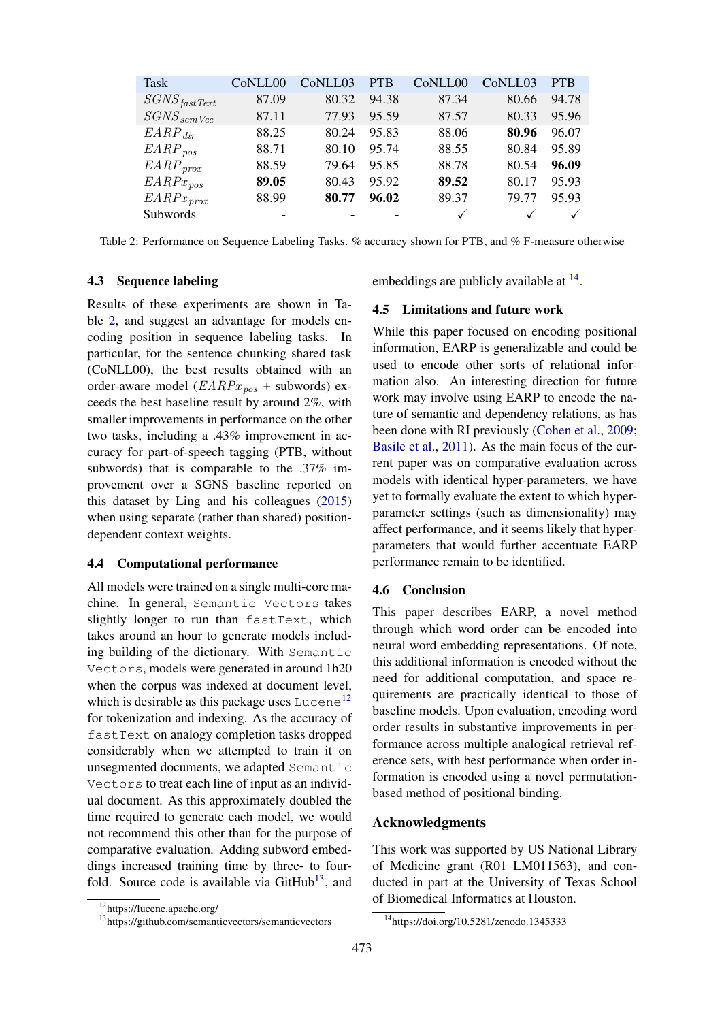| Task                     | C <sub>o</sub> NLL <sub>00</sub> | CoNLL03 | <b>PTB</b> | C <sub>o</sub> NLL <sub>00</sub> | C <sub>o</sub> NLL <sub>03</sub> | <b>PTB</b> |
|--------------------------|----------------------------------|---------|------------|----------------------------------|----------------------------------|------------|
| SGNS <sub>fastText</sub> | 87.09                            | 80.32   | 94.38      | 87.34                            | 80.66                            | 94.78      |
| $SGNS_{semVec}$          | 87.11                            | 77.93   | 95.59      | 87.57                            | 80.33                            | 95.96      |
| $EARP_{dir}$             | 88.25                            | 80.24   | 95.83      | 88.06                            | 80.96                            | 96.07      |
| $EARP_{pos}$             | 88.71                            | 80.10   | 95.74      | 88.55                            | 80.84                            | 95.89      |
| $EARP_{prox}$            | 88.59                            | 79.64   | 95.85      | 88.78                            | 80.54                            | 96.09      |
| $EARPx_{pos}$            | 89.05                            | 80.43   | 95.92      | 89.52                            | 80.17                            | 95.93      |
| $EARPx_{prox}$           | 88.99                            | 80.77   | 96.02      | 89.37                            | 79.77                            | 95.93      |
| Subwords                 | $\overline{\phantom{a}}$         |         |            | $\checkmark$                     |                                  |            |

<span id="page-8-0"></span>Table 2: Performance on Sequence Labeling Tasks. % accuracy shown for PTB, and % F-measure otherwise

## 4.3 Sequence labeling

Results of these experiments are shown in Table [2,](#page-8-0) and suggest an advantage for models encoding position in sequence labeling tasks. In particular, for the sentence chunking shared task (CoNLL00), the best results obtained with an order-aware model ( $EARPx_{pos}$  + subwords) exceeds the best baseline result by around 2%, with smaller improvements in performance on the other two tasks, including a .43% improvement in accuracy for part-of-speech tagging (PTB, without subwords) that is comparable to the .37% improvement over a SGNS baseline reported on this dataset by Ling and his colleagues [\(2015\)](#page-10-6) when using separate (rather than shared) positiondependent context weights.

# 4.4 Computational performance

All models were trained on a single multi-core machine. In general, Semantic Vectors takes slightly longer to run than fastText, which takes around an hour to generate models including building of the dictionary. With Semantic Vectors, models were generated in around 1h20 when the corpus was indexed at document level, which is desirable as this package uses  $\text{Lucene}^{12}$  $\text{Lucene}^{12}$  $\text{Lucene}^{12}$ for tokenization and indexing. As the accuracy of fastText on analogy completion tasks dropped considerably when we attempted to train it on unsegmented documents, we adapted Semantic Vectors to treat each line of input as an individual document. As this approximately doubled the time required to generate each model, we would not recommend this other than for the purpose of comparative evaluation. Adding subword embeddings increased training time by three- to fourfold. Source code is available via  $G$ itHub<sup>[13](#page-8-2)</sup>, and

embeddings are publicly available at <sup>[14](#page-8-3)</sup>.

# 4.5 Limitations and future work

While this paper focused on encoding positional information, EARP is generalizable and could be used to encode other sorts of relational information also. An interesting direction for future work may involve using EARP to encode the nature of semantic and dependency relations, as has been done with RI previously [\(Cohen et al.,](#page-9-20) [2009;](#page-9-20) [Basile et al.,](#page-9-21) [2011\)](#page-9-21). As the main focus of the current paper was on comparative evaluation across models with identical hyper-parameters, we have yet to formally evaluate the extent to which hyperparameter settings (such as dimensionality) may affect performance, and it seems likely that hyperparameters that would further accentuate EARP performance remain to be identified.

# 4.6 Conclusion

This paper describes EARP, a novel method through which word order can be encoded into neural word embedding representations. Of note, this additional information is encoded without the need for additional computation, and space requirements are practically identical to those of baseline models. Upon evaluation, encoding word order results in substantive improvements in performance across multiple analogical retrieval reference sets, with best performance when order information is encoded using a novel permutationbased method of positional binding.

# Acknowledgments

This work was supported by US National Library of Medicine grant (R01 LM011563), and conducted in part at the University of Texas School of Biomedical Informatics at Houston.

<span id="page-8-1"></span><sup>12</sup>https://lucene.apache.org/

<span id="page-8-2"></span><sup>13</sup>https://github.com/semanticvectors/semanticvectors

<span id="page-8-3"></span><sup>&</sup>lt;sup>14</sup>https://doi.org/10.5281/zenodo.1345333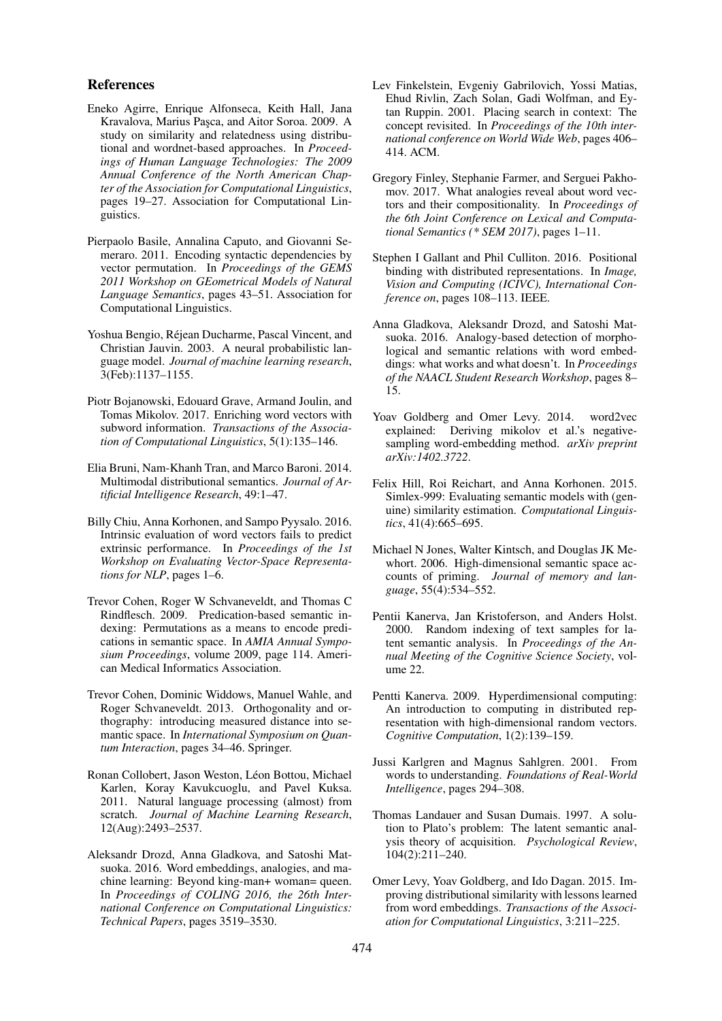# References

- <span id="page-9-15"></span>Eneko Agirre, Enrique Alfonseca, Keith Hall, Jana Kravalova, Marius Pasca, and Aitor Soroa. 2009. A study on similarity and relatedness using distributional and wordnet-based approaches. In *Proceedings of Human Language Technologies: The 2009 Annual Conference of the North American Chapter of the Association for Computational Linguistics*, pages 19–27. Association for Computational Linguistics.
- <span id="page-9-21"></span>Pierpaolo Basile, Annalina Caputo, and Giovanni Semeraro. 2011. Encoding syntactic dependencies by vector permutation. In *Proceedings of the GEMS 2011 Workshop on GEometrical Models of Natural Language Semantics*, pages 43–51. Association for Computational Linguistics.
- <span id="page-9-5"></span>Yoshua Bengio, Rejean Ducharme, Pascal Vincent, and ´ Christian Jauvin. 2003. A neural probabilistic language model. *Journal of machine learning research*, 3(Feb):1137–1155.
- <span id="page-9-12"></span>Piotr Bojanowski, Edouard Grave, Armand Joulin, and Tomas Mikolov. 2017. Enriching word vectors with subword information. *Transactions of the Association of Computational Linguistics*, 5(1):135–146.
- <span id="page-9-16"></span>Elia Bruni, Nam-Khanh Tran, and Marco Baroni. 2014. Multimodal distributional semantics. *Journal of Artificial Intelligence Research*, 49:1–47.
- <span id="page-9-18"></span>Billy Chiu, Anna Korhonen, and Sampo Pyysalo. 2016. Intrinsic evaluation of word vectors fails to predict extrinsic performance. In *Proceedings of the 1st Workshop on Evaluating Vector-Space Representations for NLP*, pages 1–6.
- <span id="page-9-20"></span>Trevor Cohen, Roger W Schvaneveldt, and Thomas C Rindflesch. 2009. Predication-based semantic indexing: Permutations as a means to encode predications in semantic space. In *AMIA Annual Symposium Proceedings*, volume 2009, page 114. American Medical Informatics Association.
- <span id="page-9-10"></span>Trevor Cohen, Dominic Widdows, Manuel Wahle, and Roger Schvaneveldt. 2013. Orthogonality and orthography: introducing measured distance into semantic space. In *International Symposium on Quantum Interaction*, pages 34–46. Springer.
- <span id="page-9-0"></span>Ronan Collobert, Jason Weston, Léon Bottou, Michael Karlen, Koray Kavukcuoglu, and Pavel Kuksa. 2011. Natural language processing (almost) from scratch. *Journal of Machine Learning Research*, 12(Aug):2493–2537.
- <span id="page-9-19"></span>Aleksandr Drozd, Anna Gladkova, and Satoshi Matsuoka. 2016. Word embeddings, analogies, and machine learning: Beyond king-man+ woman= queen. In *Proceedings of COLING 2016, the 26th International Conference on Computational Linguistics: Technical Papers*, pages 3519–3530.
- <span id="page-9-14"></span>Lev Finkelstein, Evgeniy Gabrilovich, Yossi Matias, Ehud Rivlin, Zach Solan, Gadi Wolfman, and Eytan Ruppin. 2001. Placing search in context: The concept revisited. In *Proceedings of the 10th international conference on World Wide Web*, pages 406– 414. ACM.
- <span id="page-9-13"></span>Gregory Finley, Stephanie Farmer, and Serguei Pakhomov. 2017. What analogies reveal about word vectors and their compositionality. In *Proceedings of the 6th Joint Conference on Lexical and Computational Semantics (\* SEM 2017)*, pages 1–11.
- <span id="page-9-11"></span>Stephen I Gallant and Phil Culliton. 2016. Positional binding with distributed representations. In *Image, Vision and Computing (ICIVC), International Conference on*, pages 108–113. IEEE.
- <span id="page-9-2"></span>Anna Gladkova, Aleksandr Drozd, and Satoshi Matsuoka. 2016. Analogy-based detection of morphological and semantic relations with word embeddings: what works and what doesn't. In *Proceedings of the NAACL Student Research Workshop*, pages 8– 15.
- <span id="page-9-8"></span>Yoav Goldberg and Omer Levy. 2014. word2vec explained: Deriving mikolov et al.'s negativesampling word-embedding method. *arXiv preprint arXiv:1402.3722*.
- <span id="page-9-17"></span>Felix Hill, Roi Reichart, and Anna Korhonen. 2015. Simlex-999: Evaluating semantic models with (genuine) similarity estimation. *Computational Linguistics*, 41(4):665–695.
- <span id="page-9-7"></span>Michael N Jones, Walter Kintsch, and Douglas JK Mewhort. 2006. High-dimensional semantic space accounts of priming. *Journal of memory and language*, 55(4):534–552.
- <span id="page-9-4"></span>Pentii Kanerva, Jan Kristoferson, and Anders Holst. 2000. Random indexing of text samples for latent semantic analysis. In *Proceedings of the Annual Meeting of the Cognitive Science Society*, volume 22.
- <span id="page-9-9"></span>Pentti Kanerva. 2009. Hyperdimensional computing: An introduction to computing in distributed representation with high-dimensional random vectors. *Cognitive Computation*, 1(2):139–159.
- <span id="page-9-1"></span>Jussi Karlgren and Magnus Sahlgren. 2001. From words to understanding. *Foundations of Real-World Intelligence*, pages 294–308.
- <span id="page-9-3"></span>Thomas Landauer and Susan Dumais. 1997. A solution to Plato's problem: The latent semantic analysis theory of acquisition. *Psychological Review*, 104(2):211–240.
- <span id="page-9-6"></span>Omer Levy, Yoav Goldberg, and Ido Dagan. 2015. Improving distributional similarity with lessons learned from word embeddings. *Transactions of the Association for Computational Linguistics*, 3:211–225.